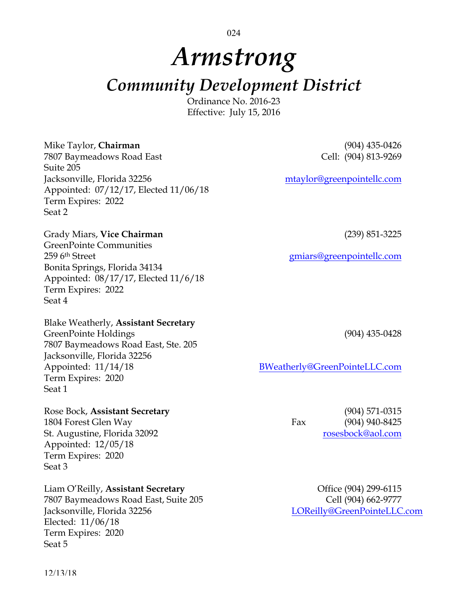024

# *Armstrong Community Development District*

Ordinance No. 2016-23 Effective: July 15, 2016

Mike Taylor, **Chairman** (904) 435-0426 7807 Baymeadows Road East Cell: (904) 813-9269 Suite 205 Jacksonville, Florida 32256 mtaylor@greenpointellc.com Appointed: 07/12/17, Elected 11/06/18 Term Expires: 2022 Seat 2

Grady Miars, **Vice Chairman** (239) 851-3225 GreenPointe Communities 259 6<sup>th</sup> Street gmiars@greenpointellc.com

Bonita Springs, Florida 34134 Appointed: 08/17/17, Elected 11/6/18 Term Expires: 2022 Seat 4

Blake Weatherly, **Assistant Secretary** GreenPointe Holdings (904) 435-0428 7807 Baymeadows Road East, Ste. 205 Jacksonville, Florida 32256 Appointed: 11/14/18 BWeatherly@GreenPointeLLC.com Term Expires: 2020 Seat 1

Rose Bock, **Assistant Secretary** (904) 571-0315 1804 Forest Glen Way Fax (904) 940-8425 St. Augustine, Florida 32092 **rosesbock@aol.com** Appointed: 12/05/18 Term Expires: 2020 Seat 3

Liam O'Reilly, **Assistant Secretary** Office (904) 299-6115 7807 Baymeadows Road East, Suite 205 Cell (904) 662-9777 Jacksonville, Florida 32256 LOReilly@GreenPointeLLC.com Elected: 11/06/18 Term Expires: 2020 Seat 5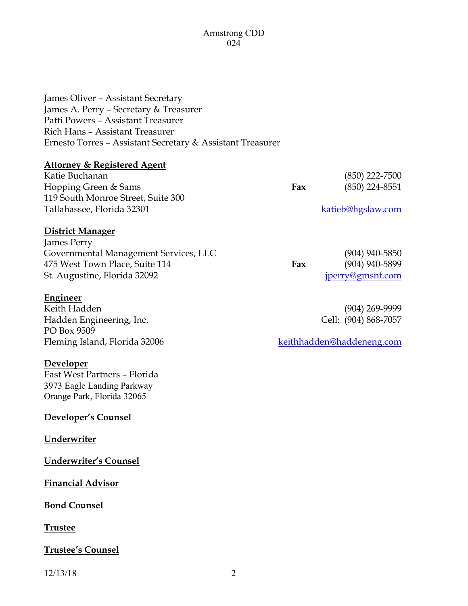#### Armstrong CDD 024

James Oliver – Assistant Secretary James A. Perry – Secretary & Treasurer Patti Powers – Assistant Treasurer Rich Hans – Assistant Treasurer Ernesto Torres – Assistant Secretary & Assistant Treasurer

#### **Attorney & Registered Agent**

| Katie Buchanan                     |            | $(850)$ 222-7500  |
|------------------------------------|------------|-------------------|
| Hopping Green & Sams               | <b>Fax</b> | $(850)$ 224-8551  |
| 119 South Monroe Street, Suite 300 |            |                   |
| Tallahassee, Florida 32301         |            | katieb@hgslaw.com |

#### **District Manager**

| James Perry                           |     |                  |
|---------------------------------------|-----|------------------|
| Governmental Management Services, LLC |     | $(904)$ 940-5850 |
| 475 West Town Place, Suite 114        | Fax | $(904)$ 940-5899 |
| St. Augustine, Florida 32092          |     | jperry@gmsnf.com |

#### **Engineer**

Keith Hadden (904) 269-9999 Hadden Engineering, Inc. Cell: (904) 868-7057 PO Box 9509

# **Developer**

East West Partners – Florida 3973 Eagle Landing Parkway Orange Park, Florida 32065

#### **Developer's Counsel**

**Underwriter**

**Underwriter's Counsel**

**Financial Advisor**

**Bond Counsel**

**Trustee**

# **Trustee's Counsel**

12/13/18 2

Fleming Island, Florida 32006 keithhadden@haddeneng.com